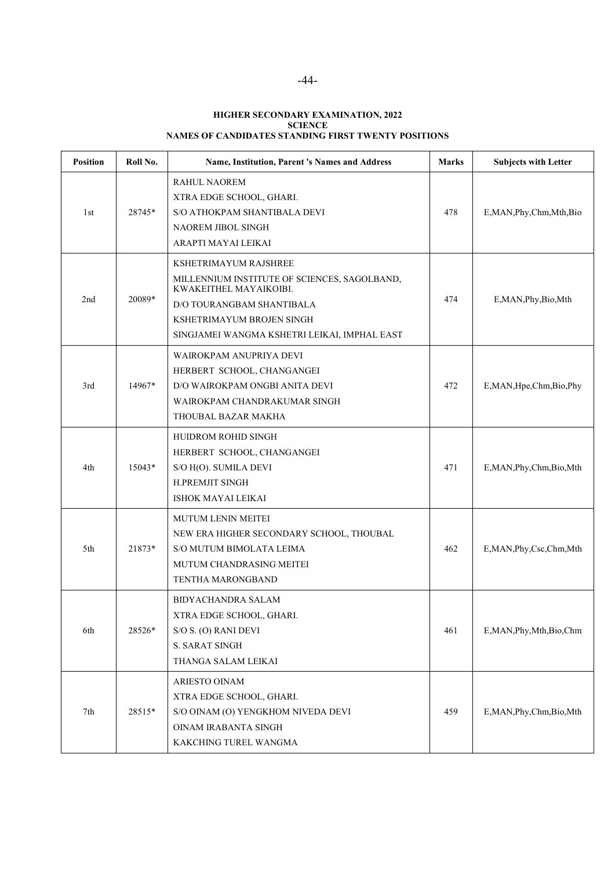## **HIGHER SECONDARY EXAMINATION, 2022 SCIENCE NAMES OF CANDIDATES STANDING FIRST TWENTY POSITIONS**

| <b>Position</b> | Roll No. | Name, Institution, Parent 's Names and Address                                                                                                                                                                   | Marks | <b>Subjects with Letter</b> |
|-----------------|----------|------------------------------------------------------------------------------------------------------------------------------------------------------------------------------------------------------------------|-------|-----------------------------|
| 1st             | 28745*   | <b>RAHUL NAOREM</b><br>XTRA EDGE SCHOOL, GHARI.<br>S/O ATHOKPAM SHANTIBALA DEVI<br>NAOREM JIBOL SINGH<br>ARAPTI MAYAI LEIKAI                                                                                     | 478   | E, MAN, Phy, Chm, Mth, Bio  |
| 2nd             | 20089*   | KSHETRIMAYUM RAJSHREE<br>MILLENNIUM INSTITUTE OF SCIENCES, SAGOLBAND,<br>KWAKEITHEL MAYAIKOIBI.<br><b>D/O TOURANGBAM SHANTIBALA</b><br>KSHETRIMAYUM BROJEN SINGH<br>SINGJAMEI WANGMA KSHETRI LEIKAI, IMPHAL EAST | 474   | E,MAN, Phy, Bio, Mth        |
| 3rd             | 14967*   | WAIROKPAM ANUPRIYA DEVI<br>HERBERT SCHOOL, CHANGANGEI<br>D/O WAIROKPAM ONGBI ANITA DEVI<br>WAIROKPAM CHANDRAKUMAR SINGH<br>THOUBAL BAZAR MAKHA                                                                   | 472   | E,MAN, Hpe, Chm, Bio, Phy   |
| 4th             | $15043*$ | HUIDROM ROHID SINGH<br>HERBERT SCHOOL, CHANGANGEI<br>S/O H(O). SUMILA DEVI<br><b>H.PREMJIT SINGH</b><br><b>ISHOK MAYAI LEIKAI</b>                                                                                | 471   | E,MAN, Phy, Chm, Bio, Mth   |
| 5th             | 21873*   | <b>MUTUM LENIN MEITEI</b><br>NEW ERA HIGHER SECONDARY SCHOOL, THOUBAL<br>S/O MUTUM BIMOLATA LEIMA<br>MUTUM CHANDRASING MEITEI<br>TENTHA MARONGBAND                                                               | 462   | E,MAN, Phy, Csc, Chm, Mth   |
| 6th             | 28526*   | <b>BIDYACHANDRA SALAM</b><br>XTRA EDGE SCHOOL, GHARI.<br>S/O S. (O) RANI DEVI<br><b>S. SARAT SINGH</b><br>THANGA SALAM LEIKAI                                                                                    | 461   | E, MAN, Phy, Mth, Bio, Chm  |
| 7th             | 28515*   | ARIESTO OINAM<br>XTRA EDGE SCHOOL, GHARI.<br>S/O OINAM (O) YENGKHOM NIVEDA DEVI<br>OINAM IRABANTA SINGH<br>KAKCHING TUREL WANGMA                                                                                 | 459   | E,MAN, Phy, Chm, Bio, Mth   |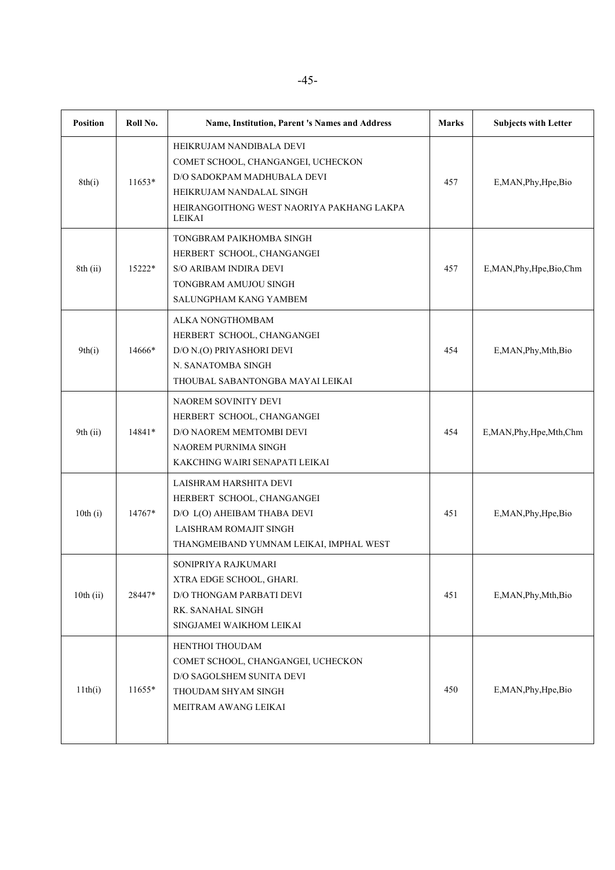| <b>Position</b> | Roll No. | Name, Institution, Parent 's Names and Address                                                                                                                                          | <b>Marks</b> | <b>Subjects with Letter</b> |
|-----------------|----------|-----------------------------------------------------------------------------------------------------------------------------------------------------------------------------------------|--------------|-----------------------------|
| 8th(i)          | $11653*$ | HEIKRUJAM NANDIBALA DEVI<br>COMET SCHOOL, CHANGANGEI, UCHECKON<br>D/O SADOKPAM MADHUBALA DEVI<br>HEIKRUJAM NANDALAL SINGH<br>HEIRANGOITHONG WEST NAORIYA PAKHANG LAKPA<br><b>LEIKAI</b> | 457          | E, MAN, Phy, Hpe, Bio       |
| 8th(i)          | 15222*   | TONGBRAM PAIKHOMBA SINGH<br>HERBERT SCHOOL, CHANGANGEI<br><b>S/O ARIBAM INDIRA DEVI</b><br>TONGBRAM AMUJOU SINGH<br>SALUNGPHAM KANG YAMBEM                                              | 457          | E,MAN, Phy, Hpe, Bio, Chm   |
| 9th(i)          | 14666*   | ALKA NONGTHOMBAM<br>HERBERT SCHOOL, CHANGANGEI<br>D/O N.(O) PRIYASHORI DEVI<br>N. SANATOMBA SINGH<br>THOUBAL SABANTONGBA MAYAI LEIKAI                                                   | 454          | E, MAN, Phy, Mth, Bio       |
| 9th (ii)        | 14841*   | NAOREM SOVINITY DEVI<br>HERBERT SCHOOL, CHANGANGEI<br>D/O NAOREM MEMTOMBI DEVI<br>NAOREM PURNIMA SINGH<br>KAKCHING WAIRI SENAPATI LEIKAI                                                | 454          | E, MAN, Phy, Hpe, Mth, Chm  |
| 10th(i)         | 14767*   | LAISHRAM HARSHITA DEVI<br>HERBERT SCHOOL, CHANGANGEI<br>D/O L(O) AHEIBAM THABA DEVI<br>LAISHRAM ROMAJIT SINGH<br>THANGMEIBAND YUMNAM LEIKAI, IMPHAL WEST                                | 451          | E, MAN, Phy, Hpe, Bio       |
| $10th$ (ii)     | 28447*   | SONIPRIYA RAJKUMARI<br>XTRA EDGE SCHOOL, GHARI.<br>D/O THONGAM PARBATI DEVI<br>RK. SANAHAL SINGH<br>SINGJAMEI WAIKHOM LEIKAI                                                            | 451          | E,MAN, Phy, Mth, Bio        |
| 11th(i)         | 11655*   | HENTHOI THOUDAM<br>COMET SCHOOL, CHANGANGEI, UCHECKON<br>D/O SAGOLSHEM SUNITA DEVI<br>THOUDAM SHYAM SINGH<br>MEITRAM AWANG LEIKAI                                                       | 450          | E, MAN, Phy, Hpe, Bio       |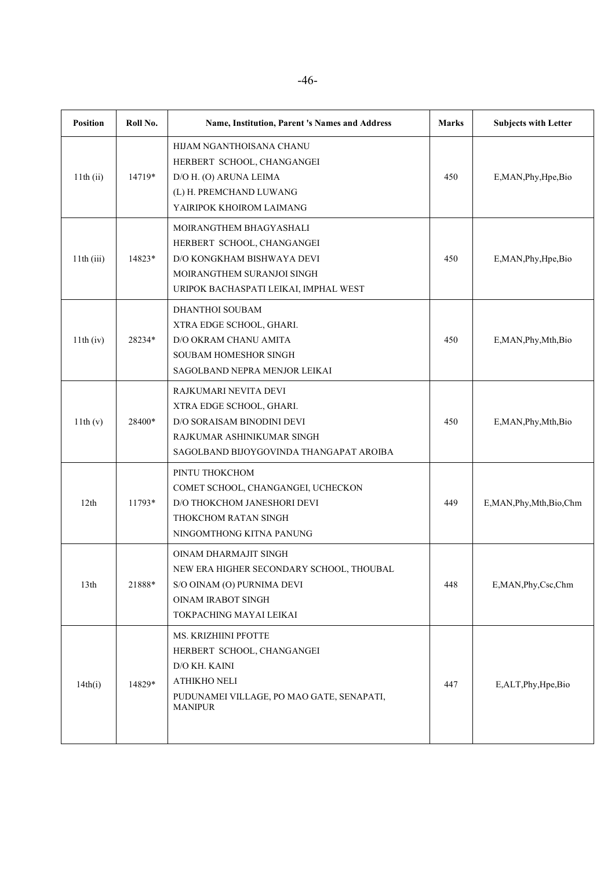| <b>Position</b>  | Roll No. | Name, Institution, Parent 's Names and Address                                                                                                             | <b>Marks</b> | <b>Subjects with Letter</b> |
|------------------|----------|------------------------------------------------------------------------------------------------------------------------------------------------------------|--------------|-----------------------------|
| $11th$ (ii)      | 14719*   | HIJAM NGANTHOISANA CHANU<br>HERBERT SCHOOL, CHANGANGEI<br>D/O H. (O) ARUNA LEIMA<br>(L) H. PREMCHAND LUWANG<br>YAIRIPOK KHOIROM LAIMANG                    | 450          | E, MAN, Phy, Hpe, Bio       |
| 11th(iii)        | 14823*   | MOIRANGTHEM BHAGYASHALI<br>HERBERT SCHOOL, CHANGANGEI<br>D/O KONGKHAM BISHWAYA DEVI<br>MOIRANGTHEM SURANJOI SINGH<br>URIPOK BACHASPATI LEIKAI, IMPHAL WEST | 450          | E, MAN, Phy, Hpe, Bio       |
| 11th (iv)        | 28234*   | DHANTHOI SOUBAM<br>XTRA EDGE SCHOOL, GHARI.<br>D/O OKRAM CHANU AMITA<br>SOUBAM HOMESHOR SINGH<br>SAGOLBAND NEPRA MENJOR LEIKAI                             | 450          | E, MAN, Phy, Mth, Bio       |
| 11th(v)          | 28400*   | RAJKUMARI NEVITA DEVI<br>XTRA EDGE SCHOOL, GHARI.<br>D/O SORAISAM BINODINI DEVI<br>RAJKUMAR ASHINIKUMAR SINGH<br>SAGOLBAND BIJOYGOVINDA THANGAPAT AROIBA   | 450          | E,MAN, Phy, Mth, Bio        |
| 12th             | 11793*   | PINTU THOKCHOM<br>COMET SCHOOL, CHANGANGEI, UCHECKON<br>D/O THOKCHOM JANESHORI DEVI<br>THOKCHOM RATAN SINGH<br>NINGOMTHONG KITNA PANUNG                    | 449          | E,MAN, Phy, Mth, Bio, Chm   |
| 13 <sup>th</sup> | 21888*   | OINAM DHARMAJIT SINGH<br>NEW ERA HIGHER SECONDARY SCHOOL, THOUBAL<br>S/O OINAM (O) PURNIMA DEVI<br><b>OINAM IRABOT SINGH</b><br>TOKPACHING MAYAI LEIKAI    | 448          | E, MAN, Phy, Csc, Chm       |
| 14th(i)          | 14829*   | MS. KRIZHIINI PFOTTE<br>HERBERT SCHOOL, CHANGANGEI<br>D/O KH. KAINI<br><b>ATHIKHO NELI</b><br>PUDUNAMEI VILLAGE, PO MAO GATE, SENAPATI,<br><b>MANIPUR</b>  | 447          | E, ALT, Phy, Hpe, Bio       |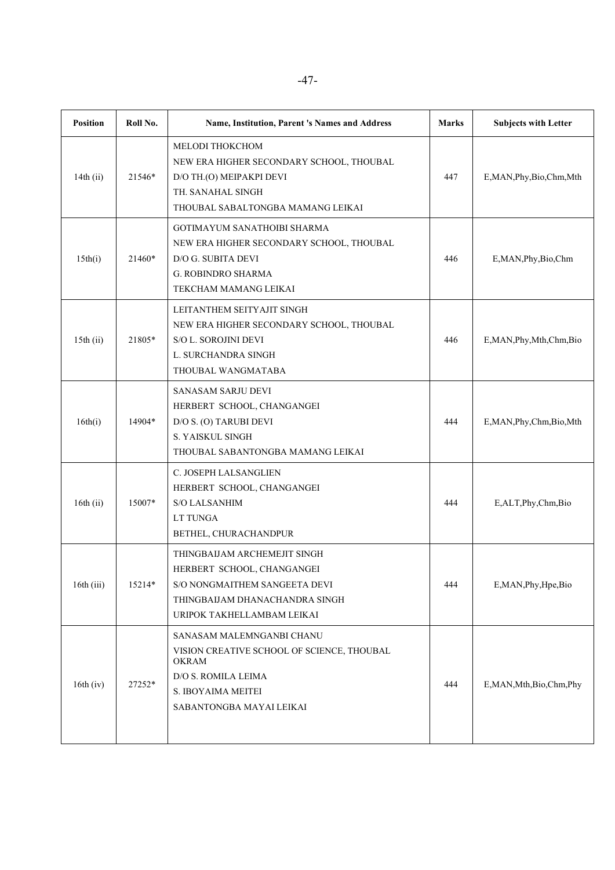| <b>Position</b> | Roll No. | Name, Institution, Parent 's Names and Address                                                                                                                   | <b>Marks</b> | <b>Subjects with Letter</b> |
|-----------------|----------|------------------------------------------------------------------------------------------------------------------------------------------------------------------|--------------|-----------------------------|
| 14th $(ii)$     | 21546*   | MELODI THOKCHOM<br>NEW ERA HIGHER SECONDARY SCHOOL, THOUBAL<br>D/O TH.(O) MEIPAKPI DEVI<br>TH. SANAHAL SINGH<br>THOUBAL SABALTONGBA MAMANG LEIKAI                | 447          | E,MAN, Phy, Bio, Chm, Mth   |
| 15th(i)         | 21460*   | <b>GOTIMAYUM SANATHOIBI SHARMA</b><br>NEW ERA HIGHER SECONDARY SCHOOL, THOUBAL<br>D/O G. SUBITA DEVI<br>G. ROBINDRO SHARMA<br>TEKCHAM MAMANG LEIKAI              | 446          | E,MAN,Phy,Bio,Chm           |
| $15th$ (ii)     | 21805*   | LEITANTHEM SEITYAJIT SINGH<br>NEW ERA HIGHER SECONDARY SCHOOL, THOUBAL<br><b>S/O L. SOROJINI DEVI</b><br>L. SURCHANDRA SINGH<br>THOUBAL WANGMATABA               | 446          | E, MAN, Phy, Mth, Chm, Bio  |
| 16th(i)         | 14904*   | <b>SANASAM SARJU DEVI</b><br>HERBERT SCHOOL, CHANGANGEI<br>D/O S. (O) TARUBI DEVI<br><b>S. YAISKUL SINGH</b><br>THOUBAL SABANTONGBA MAMANG LEIKAI                | 444          | E,MAN, Phy, Chm, Bio, Mth   |
| 16th $(ii)$     | 15007*   | C. JOSEPH LALSANGLIEN<br>HERBERT SCHOOL, CHANGANGEI<br><b>S/O LALSANHIM</b><br>LT TUNGA<br>BETHEL, CHURACHANDPUR                                                 | 444          | E,ALT,Phy,Chm,Bio           |
| 16th(iii)       | 15214*   | THINGBAIJAM ARCHEMEJIT SINGH<br>HERBERT SCHOOL, CHANGANGEI<br>S/O NONGMAITHEM SANGEETA DEVI<br>THINGBAIJAM DHANACHANDRA SINGH<br>URIPOK TAKHELLAMBAM LEIKAI      | 444          | E,MAN, Phy, Hpe, Bio        |
| $16th$ (iv)     | 27252*   | SANASAM MALEMNGANBI CHANU<br>VISION CREATIVE SCHOOL OF SCIENCE, THOUBAL<br><b>OKRAM</b><br>D/O S. ROMILA LEIMA<br>S. IBOYAIMA MEITEI<br>SABANTONGBA MAYAI LEIKAI | 444          | E,MAN,Mth,Bio,Chm,Phy       |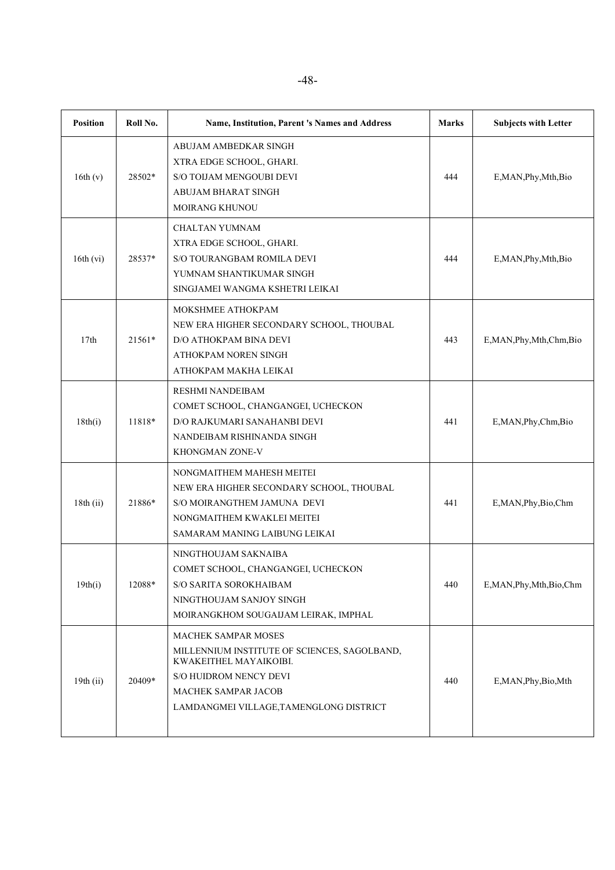| <b>Position</b> | Roll No. | Name, Institution, Parent 's Names and Address                                                                                                                                                   | <b>Marks</b> | <b>Subjects with Letter</b> |
|-----------------|----------|--------------------------------------------------------------------------------------------------------------------------------------------------------------------------------------------------|--------------|-----------------------------|
| 16th(v)         | 28502*   | ABUJAM AMBEDKAR SINGH<br>XTRA EDGE SCHOOL, GHARI.<br>S/O TOIJAM MENGOUBI DEVI<br>ABUJAM BHARAT SINGH<br>MOIRANG KHUNOU                                                                           | 444          | E, MAN, Phy, Mth, Bio       |
| $16th$ (vi)     | 28537*   | CHALTAN YUMNAM<br>XTRA EDGE SCHOOL, GHARI.<br>S/O TOURANGBAM ROMILA DEVI<br>YUMNAM SHANTIKUMAR SINGH<br>SINGJAMEI WANGMA KSHETRI LEIKAI                                                          | 444          | E, MAN, Phy, Mth, Bio       |
| 17th            | $21561*$ | MOKSHMEE ATHOKPAM<br>NEW ERA HIGHER SECONDARY SCHOOL, THOUBAL<br>D/O ATHOKPAM BINA DEVI<br>ATHOKPAM NOREN SINGH<br>ATHOKPAM MAKHA LEIKAI                                                         | 443          | E, MAN, Phy, Mth, Chm, Bio  |
| 18th(i)         | 11818*   | <b>RESHMI NANDEIBAM</b><br>COMET SCHOOL, CHANGANGEI, UCHECKON<br>D/O RAJKUMARI SANAHANBI DEVI<br>NANDEIBAM RISHINANDA SINGH<br>KHONGMAN ZONE-V                                                   | 441          | E,MAN, Phy, Chm, Bio        |
| $18th$ (ii)     | 21886*   | NONGMAITHEM MAHESH MEITEI<br>NEW ERA HIGHER SECONDARY SCHOOL, THOUBAL<br>S/O MOIRANGTHEM JAMUNA DEVI<br>NONGMAITHEM KWAKLEI MEITEI<br>SAMARAM MANING LAIBUNG LEIKAI                              | 441          | E,MAN,Phy,Bio,Chm           |
| 19th(i)         | 12088*   | NINGTHOUJAM SAKNAIBA<br>COMET SCHOOL, CHANGANGEI, UCHECKON<br>S/O SARITA SOROKHAIBAM<br>NINGTHOUJAM SANJOY SINGH<br>MOIRANGKHOM SOUGAIJAM LEIRAK, IMPHAL                                         | 440          | E,MAN, Phy, Mth, Bio, Chm   |
| $19th$ (ii)     | 20409*   | <b>MACHEK SAMPAR MOSES</b><br>MILLENNIUM INSTITUTE OF SCIENCES, SAGOLBAND,<br>KWAKEITHEL MAYAIKOIBI.<br>S/O HUIDROM NENCY DEVI<br>MACHEK SAMPAR JACOB<br>LAMDANGMEI VILLAGE, TAMENGLONG DISTRICT | 440          | E,MAN, Phy, Bio, Mth        |